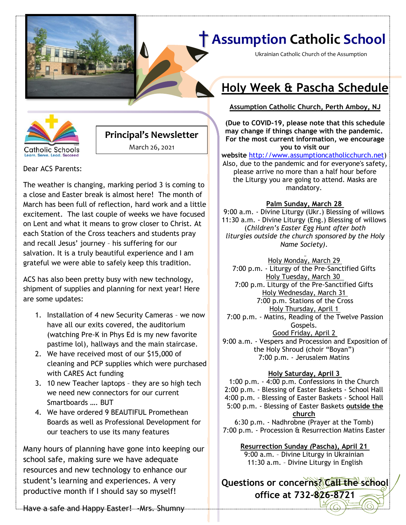

Ukrainian Catholic Church of the Assumption

**Holy Week & Pascha Schedule**

**[Date] Assumption Catholic Church, Perth Amboy, NJ**



### **Principal's Newsletter**

March 26, 2021

Dear ACS Parents:

The weather is changing, marking period 3 is coming to a close and Easter break is almost here! The month of March has been full of reflection, hard work and a little excitement. The last couple of weeks we have focused on Lent and what it means to grow closer to Christ. At each Station of the Cross teachers and students pray and recall Jesus' journey – his suffering for our salvation. It is a truly beautiful experience and I am grateful we were able to safely keep this tradition.

ACS has also been pretty busy with new technology, shipment of supplies and planning for next year! Here are some updates:

- 1. Installation of 4 new Security Cameras we now have all our exits covered, the auditorium (watching Pre-K in Phys Ed is my new favorite pastime lol), hallways and the main staircase.
- 2. We have received most of our \$15,000 of cleaning and PCP supplies which were purchased with CARES Act funding
- 3. 10 new Teacher laptops they are so high tech we need new connectors for our current Smartboards …. BUT
- 4. We have ordered 9 BEAUTIFUL Promethean Boards as well as Professional Development for our teachers to use its many features

Many hours of planning have gone into keeping our school safe, making sure we have adequate resources and new technology to enhance our student's learning and experiences. A very productive month if I should say so myself!

#### **(Due to COVID-19, please note that this schedule may change if things change with the pandemic.**

**For the most current information, we encourage you to visit our website** [http://www.assumptioncatholicchurch.net\)](http://www.assumptioncatholicchurch.net/) Also, due to the pandemic and for everyone's safety,

please arrive no more than a half hour before the Liturgy you are going to attend. Masks are mandatory.

#### **Palm Sunday, March 28**

9:00 a.m. - Divine Liturgy (Ukr.) Blessing of willows 11:30 a.m. - Divine Liturgy (Eng.) Blessing of willows (*Children's Easter Egg Hunt after both liturgies outside the church sponsored by the Holy Name Society)*.

Holy Monday, March 29 7:00 p.m. - Liturgy of the Pre-Sanctified Gifts Holy Tuesday, March 30 7:00 p.m. Liturgy of the Pre-Sanctified Gifts Holy Wednesday, March 31 7:00 p.m. Stations of the Cross Holy Thursday, April 1 7:00 p.m. - Matins, Reading of the Twelve Passion Gospels. Good Friday, April 2 9:00 a.m. - Vespers and Procession and Exposition of the Holy Shroud (choir "Boyan") 7:00 p.m. - Jerusalem Matins

#### **Holy Saturday, April 3**

1:00 p.m. - 4:00 p.m. Confessions in the Church 2:00 p.m. - Blessing of Easter Baskets - School Hall 4:00 p.m. - Blessing of Easter Baskets - School Hall 5:00 p.m. - Blessing of Easter Baskets **outside the church** 6:30 p.m. - Nadhrobne (Prayer at the Tomb)

7:00 p.m. - Procession & Resurrection Matins Easter

**Resurrection Sunday** *(***Pascha), April 21** 9:00 a.m. – Divine Liturgy in Ukrainian 11:30 a.m. – Divine Liturgy in English

**Questions or concerns? Call the school office at 732-826-8721**

Have a safe and Happy Easter! - Mrs. Shumny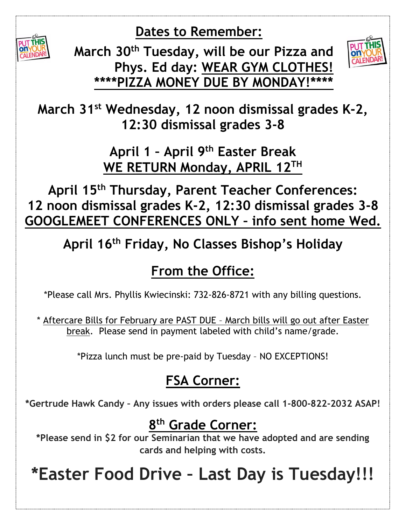**Dates to Remember:**



**March 30th Tuesday, will be our Pizza and Phys. Ed day: WEAR GYM CLOTHES!**  \*\*\*\*PIZZA MONEY DUE BY MONDAY!



**March 31st Wednesday, 12 noon dismissal grades K-2, 12:30 dismissal grades 3-8**

> **April 1 – April 9th Easter Break WE RETURN Monday, APRIL 12TH**

**April 15th Thursday, Parent Teacher Conferences: 12 noon dismissal grades K-2, 12:30 dismissal grades 3-8 GOOGLEMEET CONFERENCES ONLY – info sent home Wed.**

**April 16th Friday, No Classes Bishop's Holiday**

### **From the Office:**

\*Please call Mrs. Phyllis Kwiecinski: 732-826-8721 with any billing questions.

\* Aftercare Bills for February are PAST DUE – March bills will go out after Easter break. Please send in payment labeled with child's name/grade.

\*Pizza lunch must be pre-paid by Tuesday – NO EXCEPTIONS!

## **FSA Corner:**

**\*Gertrude Hawk Candy – Any issues with orders please call 1-800-822-2032 ASAP!**

### **8 th Grade Corner:**

**\*Please send in \$2 for our Seminarian that we have adopted and are sending cards and helping with costs.**

# **\*Easter Food Drive – Last Day is Tuesday!!!**